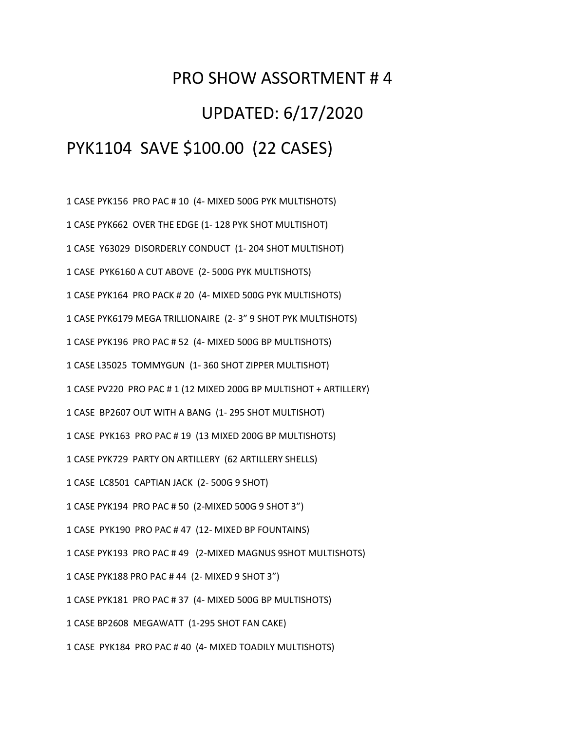## PRO SHOW ASSORTMENT # 4 UPDATED: 6/17/2020 PYK1104 SAVE \$100.00 (22 CASES)

1 CASE PYK156 PRO PAC # 10 (4- MIXED 500G PYK MULTISHOTS) 1 CASE PYK662 OVER THE EDGE (1- 128 PYK SHOT MULTISHOT) 1 CASE Y63029 DISORDERLY CONDUCT (1- 204 SHOT MULTISHOT) 1 CASE PYK6160 A CUT ABOVE (2- 500G PYK MULTISHOTS) 1 CASE PYK164 PRO PACK # 20 (4- MIXED 500G PYK MULTISHOTS) 1 CASE PYK6179 MEGA TRILLIONAIRE (2- 3" 9 SHOT PYK MULTISHOTS) 1 CASE PYK196 PRO PAC # 52 (4- MIXED 500G BP MULTISHOTS) 1 CASE L35025 TOMMYGUN (1- 360 SHOT ZIPPER MULTISHOT) 1 CASE PV220 PRO PAC # 1 (12 MIXED 200G BP MULTISHOT + ARTILLERY) 1 CASE BP2607 OUT WITH A BANG (1- 295 SHOT MULTISHOT) 1 CASE PYK163 PRO PAC # 19 (13 MIXED 200G BP MULTISHOTS) 1 CASE PYK729 PARTY ON ARTILLERY (62 ARTILLERY SHELLS) 1 CASE LC8501 CAPTIAN JACK (2- 500G 9 SHOT) 1 CASE PYK194 PRO PAC # 50 (2-MIXED 500G 9 SHOT 3") 1 CASE PYK190 PRO PAC # 47 (12- MIXED BP FOUNTAINS) 1 CASE PYK193 PRO PAC # 49 (2-MIXED MAGNUS 9SHOT MULTISHOTS) 1 CASE PYK188 PRO PAC # 44 (2- MIXED 9 SHOT 3") 1 CASE PYK181 PRO PAC # 37 (4- MIXED 500G BP MULTISHOTS) 1 CASE BP2608 MEGAWATT (1-295 SHOT FAN CAKE) 1 CASE PYK184 PRO PAC # 40 (4- MIXED TOADILY MULTISHOTS)